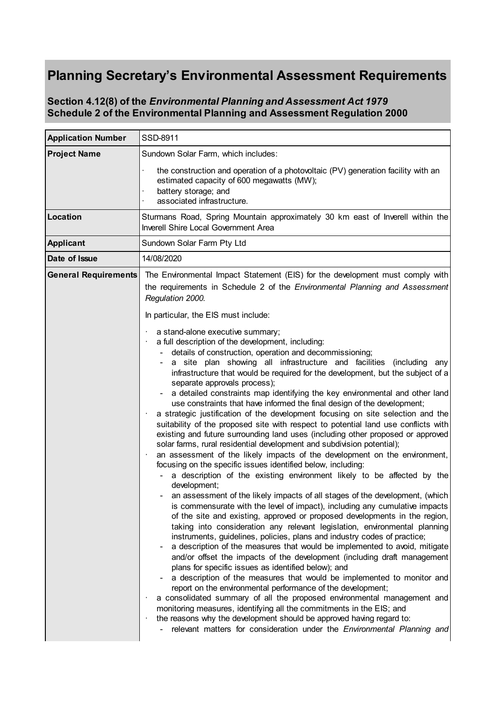## **Planning Secretary's Environmental Assessment Requirements**

## **Section 4.12(8) of the** *Environmental Planning and Assessment Act 1979* **Schedule 2 of the Environmental Planning and Assessment Regulation 2000**

| <b>Application Number</b>   | SSD-8911                                                                                                                                                                                                                                                                                                                                                                                                                                                                                                                                                                                                                                                                                                                                                                                                                                                                                                                                                                                                                                                                                                                                                                                                                                                                                                                                                                                                                                                                                                                                                                                                                                                                                                                                                                                                                                                                                                                                                                                                                                                                                                                                                                     |
|-----------------------------|------------------------------------------------------------------------------------------------------------------------------------------------------------------------------------------------------------------------------------------------------------------------------------------------------------------------------------------------------------------------------------------------------------------------------------------------------------------------------------------------------------------------------------------------------------------------------------------------------------------------------------------------------------------------------------------------------------------------------------------------------------------------------------------------------------------------------------------------------------------------------------------------------------------------------------------------------------------------------------------------------------------------------------------------------------------------------------------------------------------------------------------------------------------------------------------------------------------------------------------------------------------------------------------------------------------------------------------------------------------------------------------------------------------------------------------------------------------------------------------------------------------------------------------------------------------------------------------------------------------------------------------------------------------------------------------------------------------------------------------------------------------------------------------------------------------------------------------------------------------------------------------------------------------------------------------------------------------------------------------------------------------------------------------------------------------------------------------------------------------------------------------------------------------------------|
| <b>Project Name</b>         | Sundown Solar Farm, which includes:                                                                                                                                                                                                                                                                                                                                                                                                                                                                                                                                                                                                                                                                                                                                                                                                                                                                                                                                                                                                                                                                                                                                                                                                                                                                                                                                                                                                                                                                                                                                                                                                                                                                                                                                                                                                                                                                                                                                                                                                                                                                                                                                          |
|                             | the construction and operation of a photovoltaic (PV) generation facility with an<br>estimated capacity of 600 megawatts (MW);<br>battery storage; and<br>associated infrastructure.                                                                                                                                                                                                                                                                                                                                                                                                                                                                                                                                                                                                                                                                                                                                                                                                                                                                                                                                                                                                                                                                                                                                                                                                                                                                                                                                                                                                                                                                                                                                                                                                                                                                                                                                                                                                                                                                                                                                                                                         |
| <b>Location</b>             | Sturmans Road, Spring Mountain approximately 30 km east of Inverell within the<br>Inverell Shire Local Government Area                                                                                                                                                                                                                                                                                                                                                                                                                                                                                                                                                                                                                                                                                                                                                                                                                                                                                                                                                                                                                                                                                                                                                                                                                                                                                                                                                                                                                                                                                                                                                                                                                                                                                                                                                                                                                                                                                                                                                                                                                                                       |
| <b>Applicant</b>            | Sundown Solar Farm Pty Ltd                                                                                                                                                                                                                                                                                                                                                                                                                                                                                                                                                                                                                                                                                                                                                                                                                                                                                                                                                                                                                                                                                                                                                                                                                                                                                                                                                                                                                                                                                                                                                                                                                                                                                                                                                                                                                                                                                                                                                                                                                                                                                                                                                   |
| Date of Issue               | 14/08/2020                                                                                                                                                                                                                                                                                                                                                                                                                                                                                                                                                                                                                                                                                                                                                                                                                                                                                                                                                                                                                                                                                                                                                                                                                                                                                                                                                                                                                                                                                                                                                                                                                                                                                                                                                                                                                                                                                                                                                                                                                                                                                                                                                                   |
| <b>General Requirements</b> | The Environmental Impact Statement (EIS) for the development must comply with<br>the requirements in Schedule 2 of the <i>Environmental Planning and Assessment</i><br>Regulation 2000.<br>In particular, the EIS must include:                                                                                                                                                                                                                                                                                                                                                                                                                                                                                                                                                                                                                                                                                                                                                                                                                                                                                                                                                                                                                                                                                                                                                                                                                                                                                                                                                                                                                                                                                                                                                                                                                                                                                                                                                                                                                                                                                                                                              |
|                             | a stand-alone executive summary;<br>a full description of the development, including:<br>details of construction, operation and decommissioning;<br>a site plan showing all infrastructure and facilities (including any<br>infrastructure that would be required for the development, but the subject of a<br>separate approvals process);<br>a detailed constraints map identifying the key environmental and other land<br>use constraints that have informed the final design of the development;<br>a strategic justification of the development focusing on site selection and the<br>suitability of the proposed site with respect to potential land use conflicts with<br>existing and future surrounding land uses (including other proposed or approved<br>solar farms, rural residential development and subdivision potential);<br>an assessment of the likely impacts of the development on the environment,<br>$\bullet$<br>focusing on the specific issues identified below, including:<br>a description of the existing environment likely to be affected by the<br>development;<br>an assessment of the likely impacts of all stages of the development, (which<br>is commensurate with the level of impact), including any cumulative impacts<br>of the site and existing, approved or proposed developments in the region,<br>taking into consideration any relevant legislation, environmental planning<br>instruments, guidelines, policies, plans and industry codes of practice;<br>a description of the measures that would be implemented to avoid, mitigate<br>and/or offset the impacts of the development (including draft management<br>plans for specific issues as identified below); and<br>a description of the measures that would be implemented to monitor and<br>report on the environmental performance of the development;<br>a consolidated summary of all the proposed environmental management and<br>monitoring measures, identifying all the commitments in the EIS; and<br>the reasons why the development should be approved having regard to:<br>٠<br>relevant matters for consideration under the Environmental Planning and |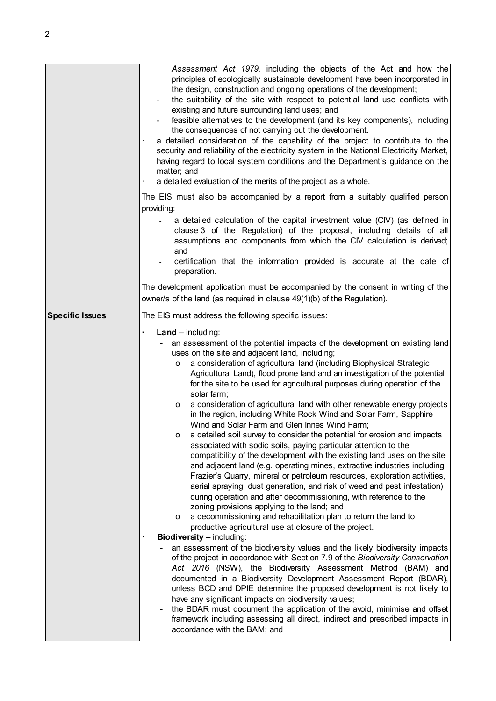|                        | Assessment Act 1979, including the objects of the Act and how the<br>principles of ecologically sustainable development have been incorporated in<br>the design, construction and ongoing operations of the development;<br>the suitability of the site with respect to potential land use conflicts with<br>existing and future surrounding land uses; and<br>feasible alternatives to the development (and its key components), including<br>the consequences of not carrying out the development.<br>a detailed consideration of the capability of the project to contribute to the<br>security and reliability of the electricity system in the National Electricity Market,<br>having regard to local system conditions and the Department's guidance on the<br>matter; and<br>a detailed evaluation of the merits of the project as a whole.                                                                                                                                                                                                                                                                                                                                                                                                                                                                                                                                                                                                                                                                                                                                                                                                                                                                                                                                                                                                                                                        |
|------------------------|-----------------------------------------------------------------------------------------------------------------------------------------------------------------------------------------------------------------------------------------------------------------------------------------------------------------------------------------------------------------------------------------------------------------------------------------------------------------------------------------------------------------------------------------------------------------------------------------------------------------------------------------------------------------------------------------------------------------------------------------------------------------------------------------------------------------------------------------------------------------------------------------------------------------------------------------------------------------------------------------------------------------------------------------------------------------------------------------------------------------------------------------------------------------------------------------------------------------------------------------------------------------------------------------------------------------------------------------------------------------------------------------------------------------------------------------------------------------------------------------------------------------------------------------------------------------------------------------------------------------------------------------------------------------------------------------------------------------------------------------------------------------------------------------------------------------------------------------------------------------------------------------------------------|
|                        | The EIS must also be accompanied by a report from a suitably qualified person                                                                                                                                                                                                                                                                                                                                                                                                                                                                                                                                                                                                                                                                                                                                                                                                                                                                                                                                                                                                                                                                                                                                                                                                                                                                                                                                                                                                                                                                                                                                                                                                                                                                                                                                                                                                                             |
|                        | providing:                                                                                                                                                                                                                                                                                                                                                                                                                                                                                                                                                                                                                                                                                                                                                                                                                                                                                                                                                                                                                                                                                                                                                                                                                                                                                                                                                                                                                                                                                                                                                                                                                                                                                                                                                                                                                                                                                                |
|                        | a detailed calculation of the capital investment value (CIV) (as defined in<br>clause 3 of the Regulation) of the proposal, including details of all<br>assumptions and components from which the CIV calculation is derived;<br>and                                                                                                                                                                                                                                                                                                                                                                                                                                                                                                                                                                                                                                                                                                                                                                                                                                                                                                                                                                                                                                                                                                                                                                                                                                                                                                                                                                                                                                                                                                                                                                                                                                                                      |
|                        | certification that the information provided is accurate at the date of<br>preparation.                                                                                                                                                                                                                                                                                                                                                                                                                                                                                                                                                                                                                                                                                                                                                                                                                                                                                                                                                                                                                                                                                                                                                                                                                                                                                                                                                                                                                                                                                                                                                                                                                                                                                                                                                                                                                    |
|                        | The development application must be accompanied by the consent in writing of the<br>owner/s of the land (as required in clause 49(1)(b) of the Regulation).                                                                                                                                                                                                                                                                                                                                                                                                                                                                                                                                                                                                                                                                                                                                                                                                                                                                                                                                                                                                                                                                                                                                                                                                                                                                                                                                                                                                                                                                                                                                                                                                                                                                                                                                               |
| <b>Specific Issues</b> | The EIS must address the following specific issues:                                                                                                                                                                                                                                                                                                                                                                                                                                                                                                                                                                                                                                                                                                                                                                                                                                                                                                                                                                                                                                                                                                                                                                                                                                                                                                                                                                                                                                                                                                                                                                                                                                                                                                                                                                                                                                                       |
|                        | $Land - including:$<br>an assessment of the potential impacts of the development on existing land<br>uses on the site and adjacent land, including;<br>a consideration of agricultural land (including Biophysical Strategic<br>о<br>Agricultural Land), flood prone land and an investigation of the potential<br>for the site to be used for agricultural purposes during operation of the<br>solar farm;<br>a consideration of agricultural land with other renewable energy projects<br>0<br>in the region, including White Rock Wind and Solar Farm, Sapphire<br>Wind and Solar Farm and Glen Innes Wind Farm;<br>a detailed soil survey to consider the potential for erosion and impacts<br>o<br>associated with sodic soils, paying particular attention to the<br>compatibility of the development with the existing land uses on the site<br>and adjacent land (e.g. operating mines, extractive industries including<br>Frazier's Quarry, mineral or petroleum resources, exploration activities,<br>aerial spraying, dust generation, and risk of weed and pest infestation)<br>during operation and after decommissioning, with reference to the<br>zoning provisions applying to the land; and<br>a decommissioning and rehabilitation plan to return the land to<br>0<br>productive agricultural use at closure of the project.<br><b>Biodiversity</b> - including:<br>an assessment of the biodiversity values and the likely biodiversity impacts<br>of the project in accordance with Section 7.9 of the Biodiversity Conservation<br>Act 2016 (NSW), the Biodiversity Assessment Method (BAM) and<br>documented in a Biodiversity Development Assessment Report (BDAR),<br>unless BCD and DPIE determine the proposed development is not likely to<br>have any significant impacts on biodiversity values;<br>the BDAR must document the application of the avoid, minimise and offset |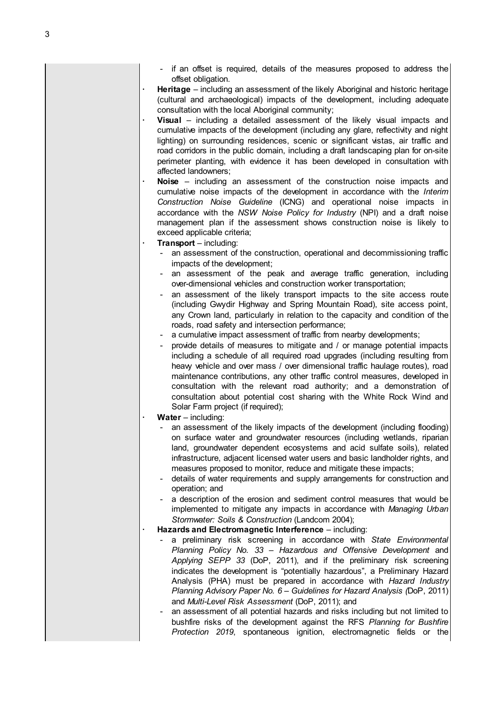- if an offset is required, details of the measures proposed to address the offset obligation.
- **· Heritage** including an assessment of the likely Aboriginal and historic heritage (cultural and archaeological) impacts of the development, including adequate consultation with the local Aboriginal community:
- **· Visual**  including a detailed assessment of the likely visual impacts and cumulative impacts of the development (including any glare, reflectivity and night lighting) on surrounding residences, scenic or significant vistas, air traffic and road corridors in the public domain, including a draft landscaping plan for on-site perimeter planting, with evidence it has been developed in consultation with affected landowners;
- **· Noise**  including an assessment of the construction noise impacts and cumulative noise impacts of the development in accordance with the *Interim Construction Noise Guideline* (ICNG) and operational noise impacts in accordance with the *NSW Noise Policy for Industry* (NPI) and a draft noise management plan if the assessment shows construction noise is likely to exceed applicable criteria;
- **· Transport**  including:
	- an assessment of the construction, operational and decommissioning traffic impacts of the development;
	- an assessment of the peak and average traffic generation, including over-dimensional vehicles and construction worker transportation;
	- an assessment of the likely transport impacts to the site access route (including Gwydir Highway and Spring Mountain Road), site access point, any Crown land, particularly in relation to the capacity and condition of the roads, road safety and intersection performance;
	- a cumulative impact assessment of traffic from nearby developments;
	- provide details of measures to mitigate and / or manage potential impacts including a schedule of all required road upgrades (including resulting from heavy vehicle and over mass / over dimensional traffic haulage routes), road maintenance contributions, any other traffic control measures, developed in consultation with the relevant road authority; and a demonstration of consultation about potential cost sharing with the White Rock Wind and Solar Farm project (if required):
	- **· Water**  including:
		- an assessment of the likely impacts of the development (including flooding) on surface water and groundwater resources (including wetlands, riparian land, groundwater dependent ecosystems and acid sulfate soils), related infrastructure, adjacent licensed water users and basic landholder rights, and measures proposed to monitor, reduce and mitigate these impacts;
		- details of water requirements and supply arrangements for construction and operation; and
		- a description of the erosion and sediment control measures that would be implemented to mitigate any impacts in accordance with *Managing Urban Stormwater: Soils & Construction* (Landcom 2004);
	- **· Hazards and Electromagnetic Interference** including:
		- a preliminary risk screening in accordance with *State Environmental Planning Policy No. 33 – Hazardous and Offensive Development* and *Applying SEPP 33* (DoP, 2011), and if the preliminary risk screening indicates the development is "potentially hazardous", a Preliminary Hazard Analysis (PHA) must be prepared in accordance with *Hazard Industry Planning Advisory Paper No. 6 – Guidelines for Hazard Analysis (*DoP, 2011) and *Multi-Level Risk Assessment* (DoP, 2011); and
		- an assessment of all potential hazards and risks including but not limited to bushfire risks of the development against the RFS *Planning for Bushfire Protection 2019*, spontaneous ignition, electromagnetic fields or the